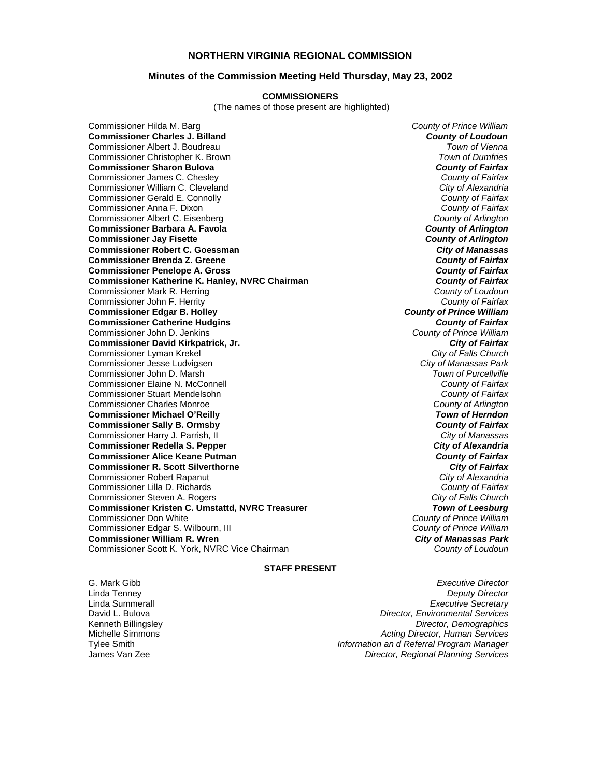# **NORTHERN VIRGINIA REGIONAL COMMISSION**

## **Minutes of the Commission Meeting Held Thursday, May 23, 2002**

#### **COMMISSIONERS**

(The names of those present are highlighted)

Commissioner Hilda M. Barg *County of Prince William* **Commissioner Charles J. Billand** *County of Loudoun***<br>** *County of Loudoun***<br>** *Commissioner Albert J. Boudreau* Commissioner Albert J. Boudreau *Town of Vienna* **Commissioner Christopher K. Brown Commissioner Sharon Bulova** *County of Fairfax County of Fairfax County of Fairfax County of Fairfax* Commissioner James C. Chesley *County of Fairfax* Commissioner William C. Cleveland *City of Alexandria* Commissioner Gerald E. Connolly *County of Fairfax* Commissioner Anna F. Dixon *County of Fairfax* Commissioner Albert C. Eisenberg *County of Arlington* **Commissioner Barbara A. Favola** *County of Arlington* **Commissioner Jay Fisette** *County of Arlington* **Commissioner Robert C. Goessman** *City of Manassas* **Commissioner Brenda Z. Greene** *County of Fairfax* **Commissioner Penelope A. Gross** *County of Fairfax* **Commissioner Katherine K. Hanley, NVRC Chairman** *County of Fairfax**County of Fairfax***<br>Commissioner Mark R. Herring** *County of Loudoun* Commissioner Mark R. Herring *County of Loudoun* Commissioner John F. Herrity *County of Fairfax* **Commissioner Edgar B. Holley** *County of Prince William* **Commissioner Catherine Hudgins** *County of Fairfax* Commissioner John D. Jenkins *County of Prince William* **Commissioner David Kirkpatrick, Jr.** *City of Fairfax* Commissioner Lyman Krekel *City of Falls Church* Commissioner Jesse Ludvigsen *City of Manassas Park* Commissioner John D. Marsh *Town of Purcellville* Commissioner Elaine N. McConnell *County of Fairfax* Commissioner Stuart Mendelsohn *County of Fairfax* Commissioner Charles Monroe *County of Arlington* **Commissioner Michael O'Reilly** *Town of Herndon* **Commissioner Sally B. Ormsby** *County of Fairfax* Commissioner Harry J. Parrish, II *City of Manassas* **Commissioner Redella S. Pepper** *City of Alexandria* **Commissioner Alice Keane Putman** *County of Fairfax* **Commissioner R. Scott Silverthorne** *City of Fairfax* Commissioner Robert Rapanut *City of Alexandria* Commissioner Lilla D. Richards *County of Fairfax* Commissioner Steven A. Rogers *City of Falls Church* **Commissioner Kristen C. Umstattd, NVRC Treasurer** *Town of Leesburg* Commissioner Don White *County of Prince William* Commissioner Edgar S. Wilbourn, III *County of Prince William* **Commissioner William R. Wren** *City of Manassas Park* Commissioner Scott K. York, NVRC Vice Chairman *County of Loudoun*

## **STAFF PRESENT**

G. Mark Gibb *Executive Director* Linda Tenney *Deputy Director* Linda Summerall *Executive Secretary* David L. Bulova *Director, Environmental Services* Kenneth Billingsley *Director, Demographics* Michelle Simmons *Acting Director, Human Services* Tylee Smith *Information an d Referral Program Manager* **Director, Regional Planning Services**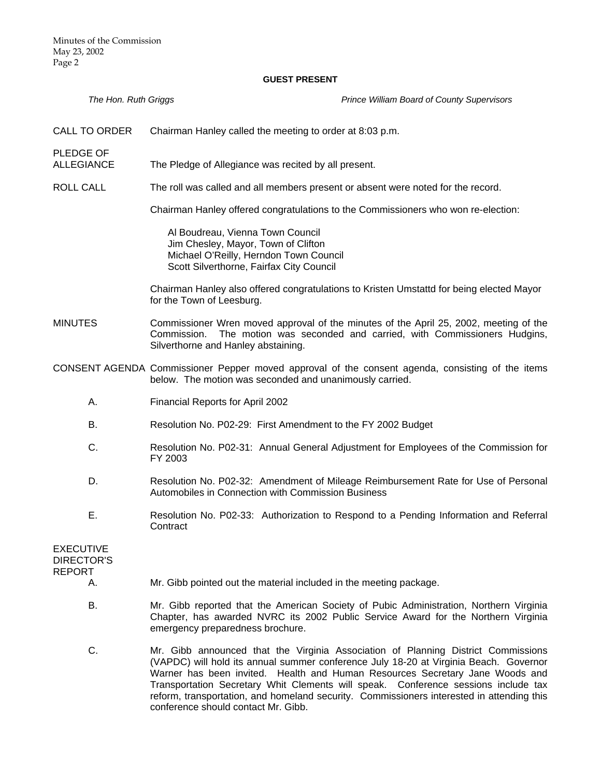#### **GUEST PRESENT**

*The Hon. Ruth Griggs Prince William Board of County Supervisors* 

CALL TO ORDER Chairman Hanley called the meeting to order at 8:03 p.m.

PLEDGE OF

- ALLEGIANCE The Pledge of Allegiance was recited by all present.
- ROLL CALL The roll was called and all members present or absent were noted for the record.

Chairman Hanley offered congratulations to the Commissioners who won re-election:

Al Boudreau, Vienna Town Council Jim Chesley, Mayor, Town of Clifton Michael O'Reilly, Herndon Town Council Scott Silverthorne, Fairfax City Council

Chairman Hanley also offered congratulations to Kristen Umstattd for being elected Mayor for the Town of Leesburg.

MINUTES Commissioner Wren moved approval of the minutes of the April 25, 2002, meeting of the Commission. The motion was seconded and carried, with Commissioners Hudgins, Silverthorne and Hanley abstaining.

CONSENT AGENDA Commissioner Pepper moved approval of the consent agenda, consisting of the items below. The motion was seconded and unanimously carried.

- A. Financial Reports for April 2002
- B. Resolution No. P02-29: First Amendment to the FY 2002 Budget
- C. Resolution No. P02-31: Annual General Adjustment for Employees of the Commission for FY 2003
- D. Resolution No. P02-32: Amendment of Mileage Reimbursement Rate for Use of Personal Automobiles in Connection with Commission Business
- E. Resolution No. P02-33: Authorization to Respond to a Pending Information and Referral **Contract**

EXECUTIVE DIRECTOR'S REPORT

- A. Mr. Gibb pointed out the material included in the meeting package.
- B. Mr. Gibb reported that the American Society of Pubic Administration, Northern Virginia Chapter, has awarded NVRC its 2002 Public Service Award for the Northern Virginia emergency preparedness brochure.
- C. Mr. Gibb announced that the Virginia Association of Planning District Commissions (VAPDC) will hold its annual summer conference July 18-20 at Virginia Beach. Governor Warner has been invited. Health and Human Resources Secretary Jane Woods and Transportation Secretary Whit Clements will speak. Conference sessions include tax reform, transportation, and homeland security. Commissioners interested in attending this conference should contact Mr. Gibb.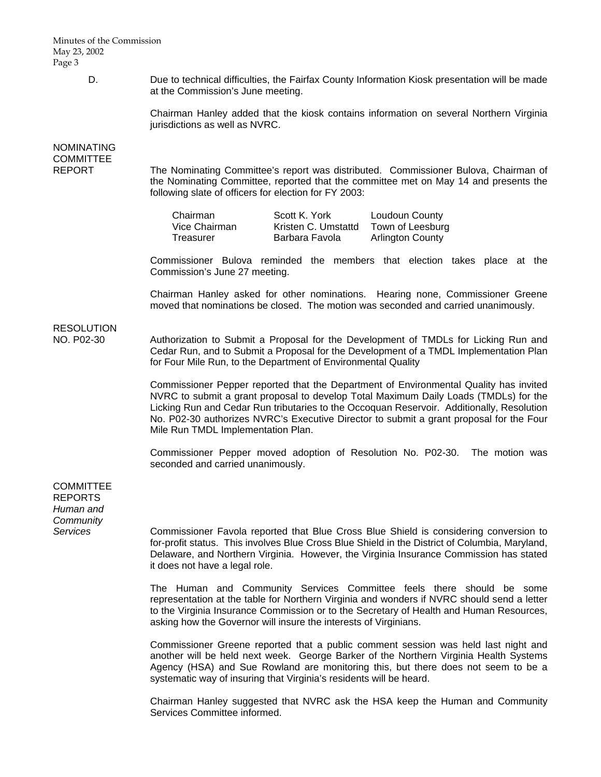Minutes of the Commission May 23, 2002 Page 3

> D. Due to technical difficulties, the Fairfax County Information Kiosk presentation will be made at the Commission's June meeting.

> > Chairman Hanley added that the kiosk contains information on several Northern Virginia jurisdictions as well as NVRC.

NOMINATING **COMMITTEE** 

REPORT The Nominating Committee's report was distributed. Commissioner Bulova, Chairman of the Nominating Committee, reported that the committee met on May 14 and presents the following slate of officers for election for FY 2003:

| Chairman      | Scott K. York       | Loudoun County          |
|---------------|---------------------|-------------------------|
| Vice Chairman | Kristen C. Umstattd | Town of Leesburg        |
| Treasurer     | Barbara Favola      | <b>Arlington County</b> |

 Commissioner Bulova reminded the members that election takes place at the Commission's June 27 meeting.

 Chairman Hanley asked for other nominations. Hearing none, Commissioner Greene moved that nominations be closed. The motion was seconded and carried unanimously.

# **RESOLUTION**

NO. P02-30 Authorization to Submit a Proposal for the Development of TMDLs for Licking Run and Cedar Run, and to Submit a Proposal for the Development of a TMDL Implementation Plan for Four Mile Run, to the Department of Environmental Quality

> Commissioner Pepper reported that the Department of Environmental Quality has invited NVRC to submit a grant proposal to develop Total Maximum Daily Loads (TMDLs) for the Licking Run and Cedar Run tributaries to the Occoquan Reservoir. Additionally, Resolution No. P02-30 authorizes NVRC's Executive Director to submit a grant proposal for the Four Mile Run TMDL Implementation Plan.

> Commissioner Pepper moved adoption of Resolution No. P02-30. The motion was seconded and carried unanimously.

**COMMITTEE** REPORTS *Human and Community* 

*Services* Commissioner Favola reported that Blue Cross Blue Shield is considering conversion to for-profit status. This involves Blue Cross Blue Shield in the District of Columbia, Maryland, Delaware, and Northern Virginia. However, the Virginia Insurance Commission has stated it does not have a legal role.

> The Human and Community Services Committee feels there should be some representation at the table for Northern Virginia and wonders if NVRC should send a letter to the Virginia Insurance Commission or to the Secretary of Health and Human Resources, asking how the Governor will insure the interests of Virginians.

> Commissioner Greene reported that a public comment session was held last night and another will be held next week. George Barker of the Northern Virginia Health Systems Agency (HSA) and Sue Rowland are monitoring this, but there does not seem to be a systematic way of insuring that Virginia's residents will be heard.

> Chairman Hanley suggested that NVRC ask the HSA keep the Human and Community Services Committee informed.